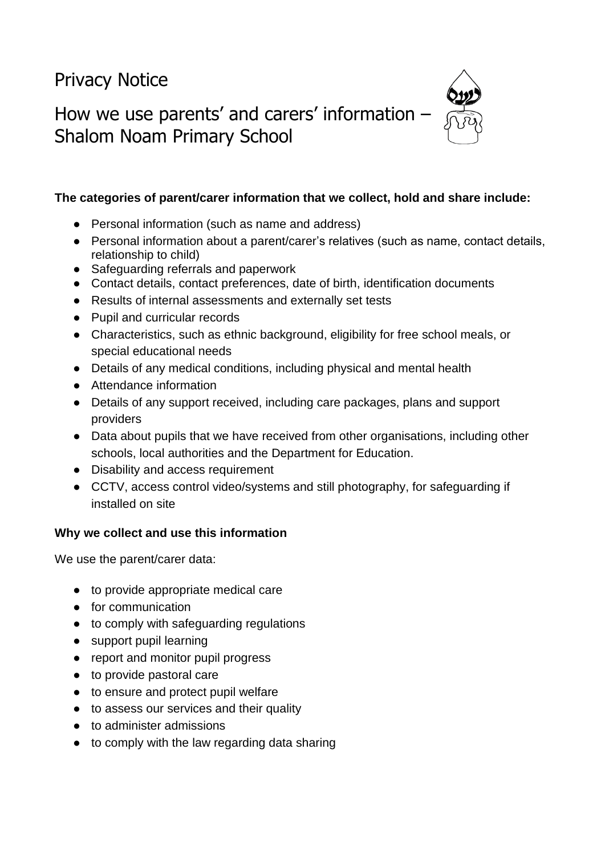Privacy Notice

How we use parents' and carers' information – Shalom Noam Primary School



## **The categories of parent/carer information that we collect, hold and share include:**

- Personal information (such as name and address)
- Personal information about a parent/carer's relatives (such as name, contact details, relationship to child)
- Safeguarding referrals and paperwork
- Contact details, contact preferences, date of birth, identification documents
- Results of internal assessments and externally set tests
- Pupil and curricular records
- Characteristics, such as ethnic background, eligibility for free school meals, or special educational needs
- Details of any medical conditions, including physical and mental health
- Attendance information
- Details of any support received, including care packages, plans and support providers
- Data about pupils that we have received from other organisations, including other schools, local authorities and the Department for Education.
- Disability and access requirement
- CCTV, access control video/systems and still photography, for safeguarding if installed on site

#### **Why we collect and use this information**

We use the parent/carer data:

- to provide appropriate medical care
- for communication
- to comply with safeguarding regulations
- support pupil learning
- report and monitor pupil progress
- to provide pastoral care
- to ensure and protect pupil welfare
- to assess our services and their quality
- to administer admissions
- to comply with the law regarding data sharing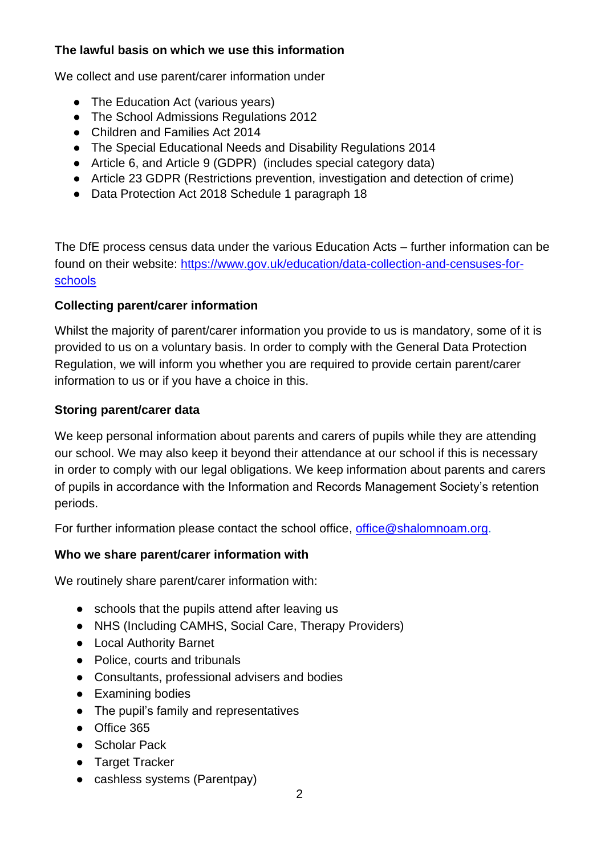## **The lawful basis on which we use this information**

We collect and use parent/carer information under

- The Education Act (various vears)
- The School Admissions Regulations 2012
- Children and Families Act 2014
- The Special Educational Needs and Disability Regulations 2014
- Article 6, and Article 9 (GDPR) (includes special category data)
- Article 23 GDPR (Restrictions prevention, investigation and detection of crime)
- Data Protection Act 2018 Schedule 1 paragraph 18

The DfE process census data under the various Education Acts – further information can be found on their website: [https://www.gov.uk/education/data-collection-and-censuses-for](https://www.gov.uk/education/data-collection-and-censuses-for-schools)[schools](https://www.gov.uk/education/data-collection-and-censuses-for-schools)

## **Collecting parent/carer information**

Whilst the majority of parent/carer information you provide to us is mandatory, some of it is provided to us on a voluntary basis. In order to comply with the General Data Protection Regulation, we will inform you whether you are required to provide certain parent/carer information to us or if you have a choice in this.

## **Storing parent/carer data**

We keep personal information about parents and carers of pupils while they are attending our school. We may also keep it beyond their attendance at our school if this is necessary in order to comply with our legal obligations. We keep information about parents and carers of pupils in accordance with the Information and Records Management Society's retention periods.

For further information please contact the school office, [office@shalomnoam.org.](mailto:office@shalomnoam.org)

#### **Who we share parent/carer information with**

We routinely share parent/carer information with:

- schools that the pupils attend after leaving us
- NHS (Including CAMHS, Social Care, Therapy Providers)
- Local Authority Barnet
- Police, courts and tribunals
- Consultants, professional advisers and bodies
- Examining bodies
- The pupil's family and representatives
- Office 365
- Scholar Pack
- Target Tracker
- cashless systems (Parentpay)